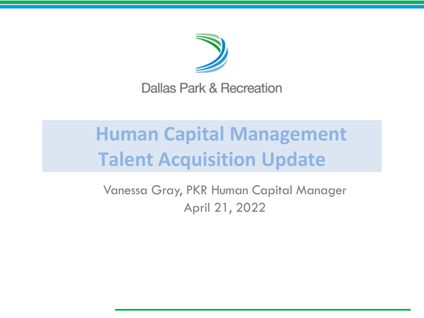

Dallas Park & Recreation

# **Human Capital Management Talent Acquisition Update**

Vanessa Gray, PKR Human Capital Manager April 21, 2022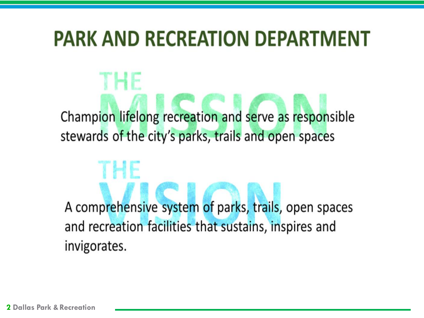## **PARK AND RECREATION DEPARTMENT**

Champion lifelong recreation and serve as responsible stewards of the city's parks, trails and open spaces

A comprehensive system of parks, trails, open spaces and recreation facilities that sustains, inspires and invigorates.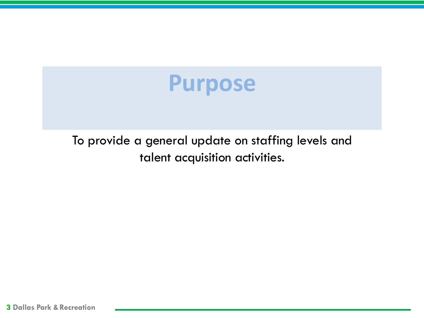

To provide a general update on staffing levels and talent acquisition activities.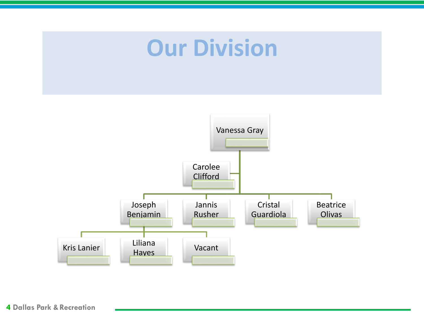# **Our Division**

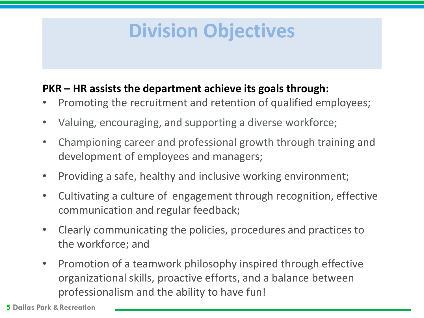### **Division Objectives**

#### **PKR – HR assists the department achieve its goals through:**

- Promoting the recruitment and retention of qualified employees;
- Valuing, encouraging, and supporting a diverse workforce;
- Championing career and professional growth through training and development of employees and managers;
- Providing a safe, healthy and inclusive working environment;
- Cultivating a culture of engagement through recognition, effective communication and regular feedback;
- Clearly communicating the policies, procedures and practices to the workforce; and
- Promotion of a teamwork philosophy inspired through effective organizational skills, proactive efforts, and a balance between professionalism and the ability to have fun!

**5 Dallas Park &Recreation**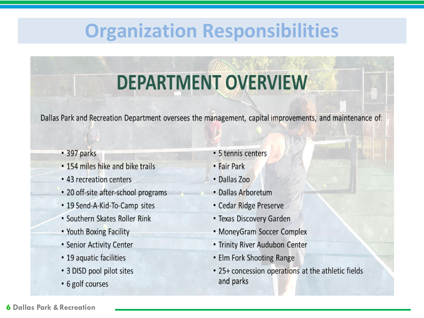### **Organization Responsibilities**

# **DEPARTMENT OVERVIEW**

Dallas Park and Recreation Department oversees the management, capital improvements, and maintenance of:

- 397 parks
- . 154 miles hike and bike trails
- 43 recreation centers
- 20 off-site after-school programs
- 19 Send-A-Kid-To-Camp sites
- Southern Skates Roller Rink
- Youth Boxing Facility
- Senior Activity Center
- 19 aquatic facilities
- · 3 DISD pool pilot sites
- 6 golf courses
- 5 tennis centers
- Fair Park
- Dallas Zoo
- · Dallas Arboretum
- Cedar Ridge Preserve
- Texas Discovery Garden
- MoneyGram Soccer Complex
- Trinity River Audubon Center
- Elm Fork Shooting Range
- 25+ concession operations at the athletic fields and parks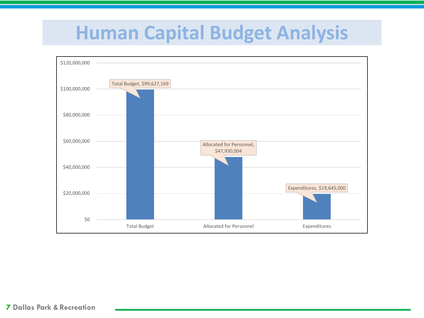### **Human Capital Budget Analysis**

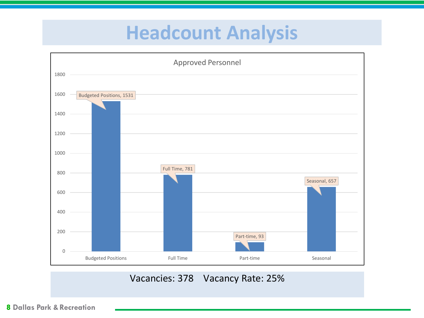### **Headcount Analysis**

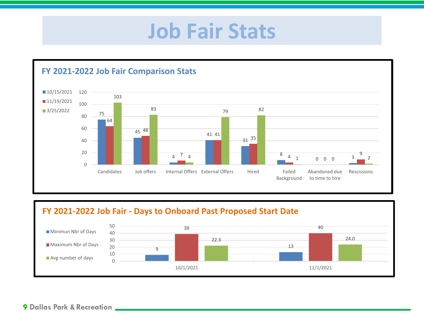## **Job Fair Stats**



#### **FY 2021-2022 Job Fair - Days to Onboard Past Proposed Start Date**

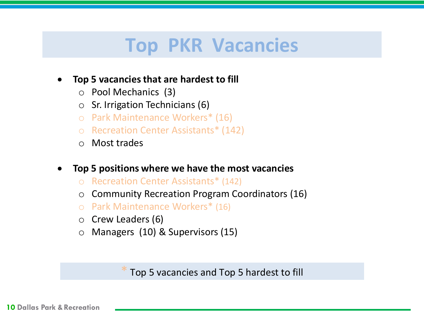### **Top PKR Vacancies**

#### • **Top 5 vacancies that are hardest to fill**

- o Pool Mechanics (3)
- o Sr. Irrigation Technicians (6)
- o Park Maintenance Workers\* (16)
- o Recreation Center Assistants\* (142)
- o Most trades
- **Top 5 positions where we have the most vacancies**
	- o Recreation Center Assistants\* (142)
	- o Community Recreation Program Coordinators (16)
	- o Park Maintenance Workers\* (16)
	- o Crew Leaders (6)
	- o Managers (10) & Supervisors (15)

Top 5 vacancies and Top 5 hardest to fill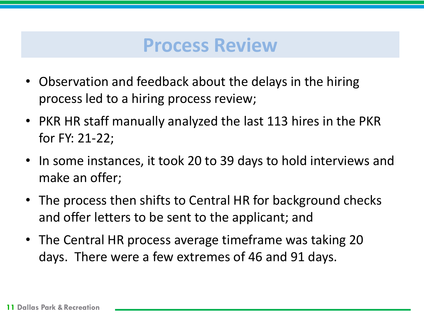### **Process Review**

- Observation and feedback about the delays in the hiring process led to a hiring process review;
- PKR HR staff manually analyzed the last 113 hires in the PKR for FY: 21-22;
- In some instances, it took 20 to 39 days to hold interviews and make an offer;
- The process then shifts to Central HR for background checks and offer letters to be sent to the applicant; and
- The Central HR process average timeframe was taking 20 days. There were a few extremes of 46 and 91 days.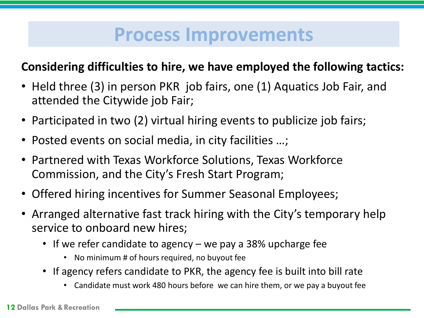### **Process Improvements**

#### **Considering difficulties to hire, we have employed the following tactics:**

- Held three (3) in person PKR job fairs, one (1) Aquatics Job Fair, and attended the Citywide job Fair;
- Participated in two (2) virtual hiring events to publicize job fairs;
- Posted events on social media, in city facilities …;
- Partnered with Texas Workforce Solutions, Texas Workforce Commission, and the City's Fresh Start Program;
- Offered hiring incentives for Summer Seasonal Employees;
- Arranged alternative fast track hiring with the City's temporary help service to onboard new hires;
	- If we refer candidate to agency we pay a 38% upcharge fee
		- No minimum # of hours required, no buyout fee
	- If agency refers candidate to PKR, the agency fee is built into bill rate
		- Candidate must work 480 hours before we can hire them, or we pay a buyout fee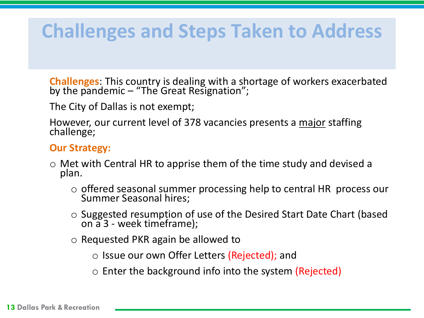### **Challenges and Steps Taken to Address**

**Challenges**: This country is dealing with a shortage of workers exacerbated by the pandemic – "The Great Resignation";

The City of Dallas is not exempt;

However, our current level of 378 vacancies presents a major staffing challenge;

#### **Our Strategy:**

- $\circ$  Met with Central HR to apprise them of the time study and devised a plan.
	- o offered seasonal summer processing help to central HR process our Summer Seasonal hires;
	- o Suggested resumption of use of the Desired Start Date Chart (based on a 3 - week timeframe);
	- o Requested PKR again be allowed to
		- Issue our own Offer Letters (Rejected); and
		- $\circ$  Enter the background info into the system (Rejected)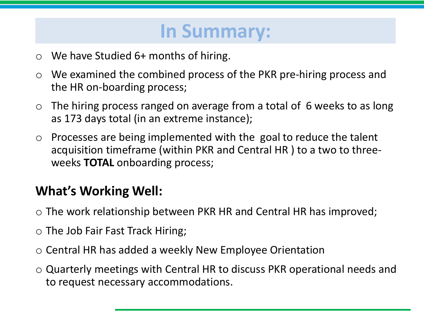### **In Summary:**

- $\circ$  We have Studied 6+ months of hiring.
- o We examined the combined process of the PKR pre-hiring process and the HR on-boarding process;
- $\circ$  The hiring process ranged on average from a total of 6 weeks to as long as 173 days total (in an extreme instance);
- $\circ$  Processes are being implemented with the goal to reduce the talent acquisition timeframe (within PKR and Central HR ) to a two to threeweeks **TOTAL** onboarding process;

### **What's Working Well:**

- $\circ$  The work relationship between PKR HR and Central HR has improved;
- o The Job Fair Fast Track Hiring;
- o Central HR has added a weekly New Employee Orientation
- o Quarterly meetings with Central HR to discuss PKR operational needs and to request necessary accommodations.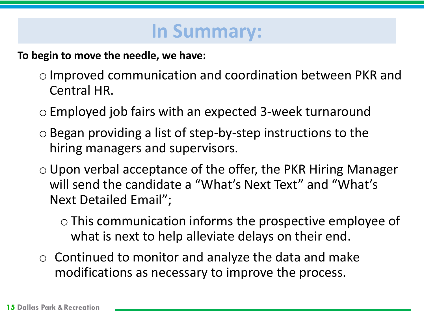### **In Summary:**

**To begin to move the needle, we have:** 

- oImproved communication and coordination between PKR and Central HR.
- oEmployed job fairs with an expected 3-week turnaround
- $\circ$  Began providing a list of step-by-step instructions to the hiring managers and supervisors.
- $\circ$  Upon verbal acceptance of the offer, the PKR Hiring Manager will send the candidate a "What's Next Text" and "What's Next Detailed Email";

oThis communication informs the prospective employee of what is next to help alleviate delays on their end.

 $\circ$  Continued to monitor and analyze the data and make modifications as necessary to improve the process.